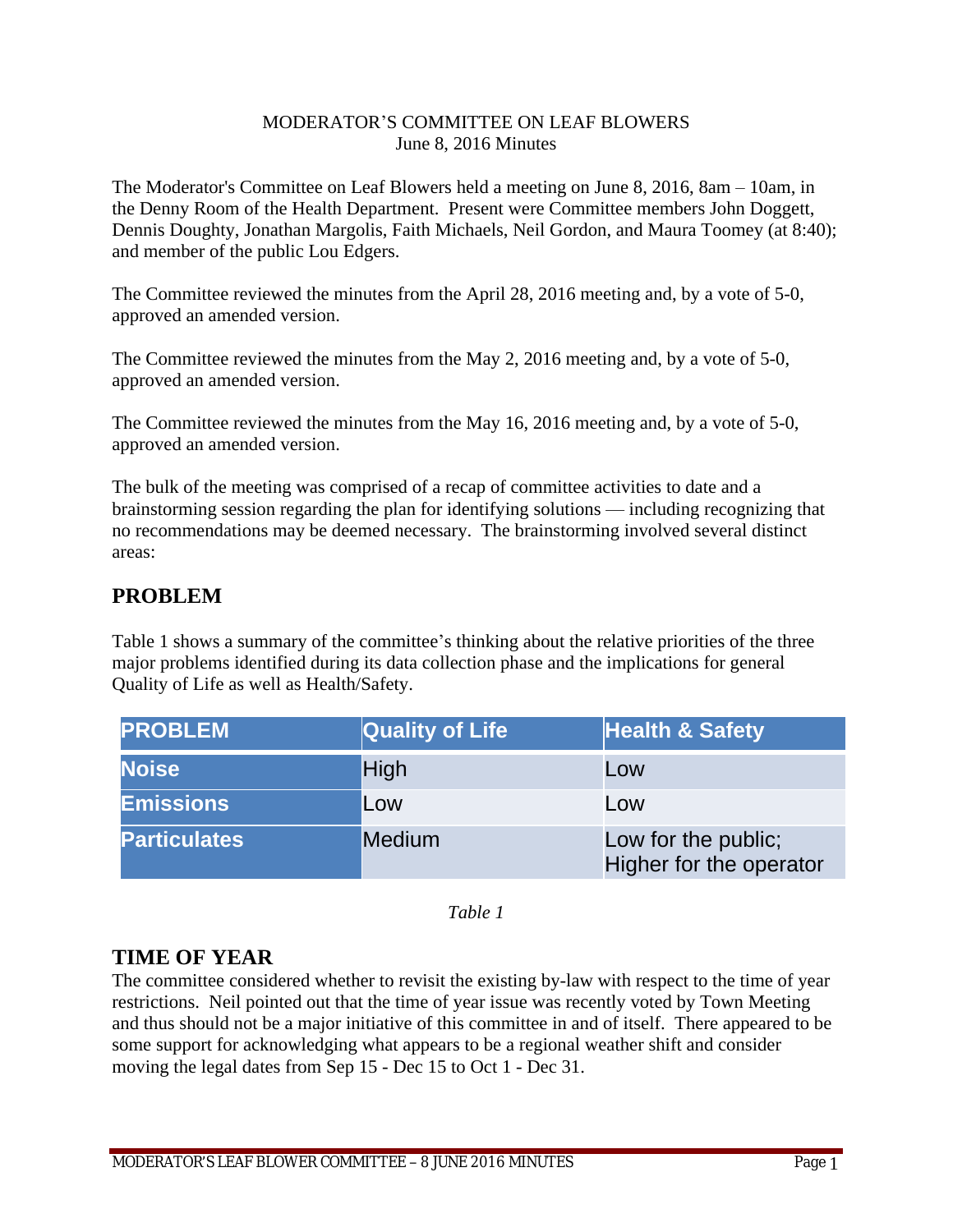#### MODERATOR'S COMMITTEE ON LEAF BLOWERS June 8, 2016 Minutes

The Moderator's Committee on Leaf Blowers held a meeting on June 8, 2016, 8am – 10am, in the Denny Room of the Health Department. Present were Committee members John Doggett, Dennis Doughty, Jonathan Margolis, Faith Michaels, Neil Gordon, and Maura Toomey (at 8:40); and member of the public Lou Edgers.

The Committee reviewed the minutes from the April 28, 2016 meeting and, by a vote of 5-0, approved an amended version.

The Committee reviewed the minutes from the May 2, 2016 meeting and, by a vote of 5-0, approved an amended version.

The Committee reviewed the minutes from the May 16, 2016 meeting and, by a vote of 5-0, approved an amended version.

The bulk of the meeting was comprised of a recap of committee activities to date and a brainstorming session regarding the plan for identifying solutions — including recognizing that no recommendations may be deemed necessary. The brainstorming involved several distinct areas:

# **PROBLEM**

Table 1 shows a summary of the committee's thinking about the relative priorities of the three major problems identified during its data collection phase and the implications for general Quality of Life as well as Health/Safety.

| <b>PROBLEM</b>      | <b>Quality of Life</b> | <b>Health &amp; Safety</b>                     |
|---------------------|------------------------|------------------------------------------------|
| <b>Noise</b>        | High                   | Low                                            |
| <b>Emissions</b>    | Low                    | Low                                            |
| <b>Particulates</b> | <b>Medium</b>          | Low for the public;<br>Higher for the operator |

*Table 1*

## **TIME OF YEAR**

The committee considered whether to revisit the existing by-law with respect to the time of year restrictions. Neil pointed out that the time of year issue was recently voted by Town Meeting and thus should not be a major initiative of this committee in and of itself. There appeared to be some support for acknowledging what appears to be a regional weather shift and consider moving the legal dates from Sep 15 - Dec 15 to Oct 1 - Dec 31.